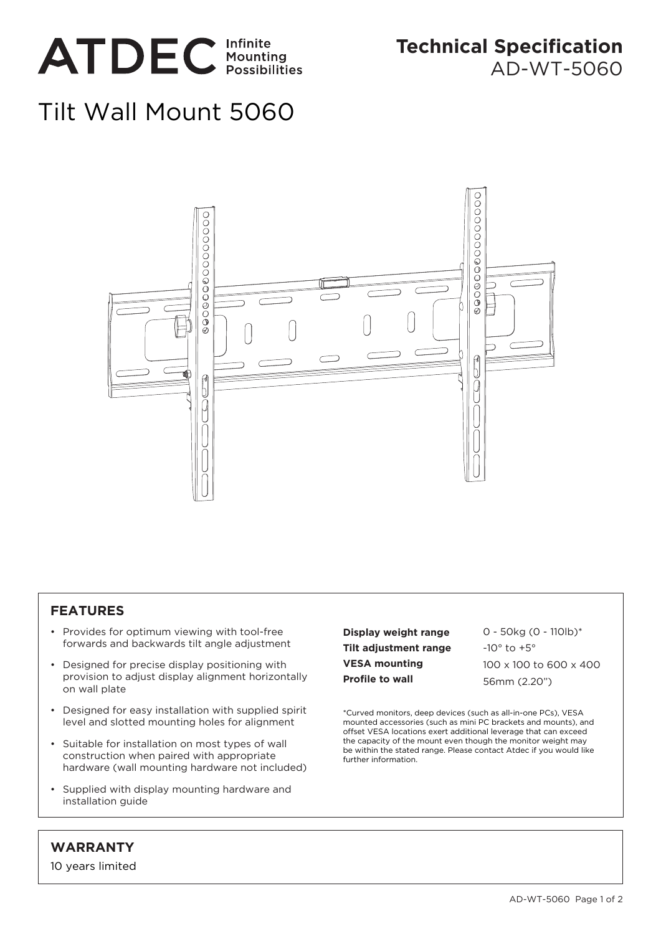

**Technical Specification** AD-WT-5060

## Tilt Wall Mount 5060



## **FEATURES**

- Provides for optimum viewing with tool-free forwards and backwards tilt angle adjustment
- Designed for precise display positioning with provision to adjust display alignment horizontally on wall plate
- Designed for easy installation with supplied spirit level and slotted mounting holes for alignment
- Suitable for installation on most types of wall construction when paired with appropriate hardware (wall mounting hardware not included)
- Supplied with display mounting hardware and installation guide

**Display weight range Tilt adjustment range VESA mounting Profile to wall**

0 - 50kg (0 - 110lb)\*  $-10^\circ$  to  $+5^\circ$ 100 x 100 to 600 x 400 56mm (2.20")

\*Curved monitors, deep devices (such as all-in-one PCs), VESA mounted accessories (such as mini PC brackets and mounts), and offset VESA locations exert additional leverage that can exceed the capacity of the mount even though the monitor weight may be within the stated range. Please contact Atdec if you would like further information.

## **WARRANTY**

10 years limited